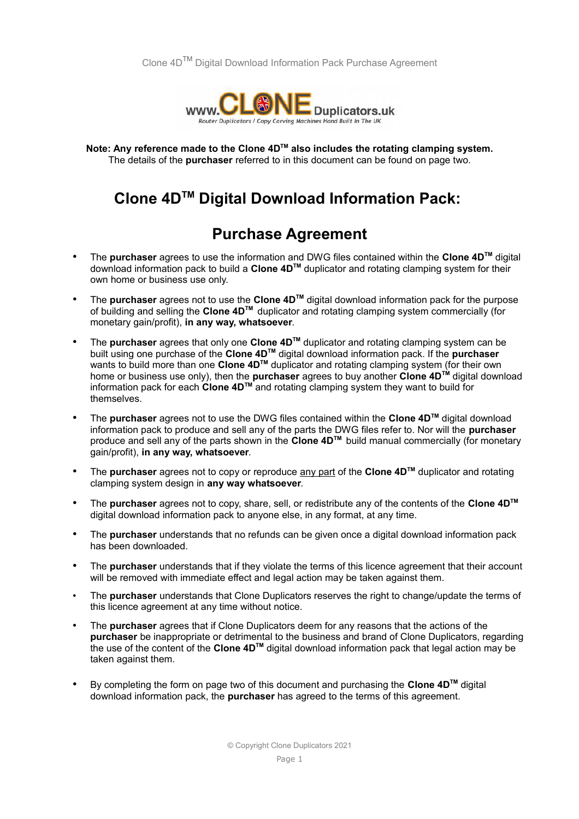

**Note: Any reference made to the Clone 4DTM also includes the rotating clamping system.** The details of the **purchaser** referred to in this document can be found on page two.

## **Clone 4DTM Digital Download Information Pack:**

## **Purchase Agreement**

- The **purchaser** agrees to use the information and DWG files contained within the **Clone 4DTM** digital download information pack to build a **Clone 4DTM** duplicator and rotating clamping system for their own home or business use only.
- The **purchaser** agrees not to use the **Clone 4DTM** digital download information pack for the purpose of building and selling the **Clone 4DTM** duplicator and rotating clamping system commercially (for monetary gain/profit), **in any way, whatsoever**.
- The **purchaser** agrees that only one **Clone 4DTM** duplicator and rotating clamping system can be built using one purchase of the **Clone 4DTM** digital download information pack. If the **purchaser**  wants to build more than one **Clone 4DTM** duplicator and rotating clamping system (for their own home or business use only), then the **purchaser** agrees to buy another **Clone 4DTM** digital download information pack for each **Clone 4DTM** and rotating clamping system they want to build for themselves.
- The **purchaser** agrees not to use the DWG files contained within the **Clone 4DTM** digital download information pack to produce and sell any of the parts the DWG files refer to. Nor will the **purchaser**  produce and sell any of the parts shown in the **Clone 4DTM** build manual commercially (for monetary gain/profit), **in any way, whatsoever**.
- The **purchaser** agrees not to copy or reproduce any part of the **Clone 4DTM** duplicator and rotating clamping system design in **any way whatsoever**.
- The **purchaser** agrees not to copy, share, sell, or redistribute any of the contents of the **Clone 4DTM** digital download information pack to anyone else, in any format, at any time.
- The **purchaser** understands that no refunds can be given once a digital download information pack has been downloaded.
- The **purchaser** understands that if they violate the terms of this licence agreement that their account will be removed with immediate effect and legal action may be taken against them.
- The **purchaser** understands that Clone Duplicators reserves the right to change/update the terms of this licence agreement at any time without notice.
- The **purchaser** agrees that if Clone Duplicators deem for any reasons that the actions of the **purchaser** be inappropriate or detrimental to the business and brand of Clone Duplicators, regarding the use of the content of the **Clone 4DTM** digital download information pack that legal action may be taken against them.
- By completing the form on page two of this document and purchasing the **Clone 4DTM** digital download information pack, the **purchaser** has agreed to the terms of this agreement.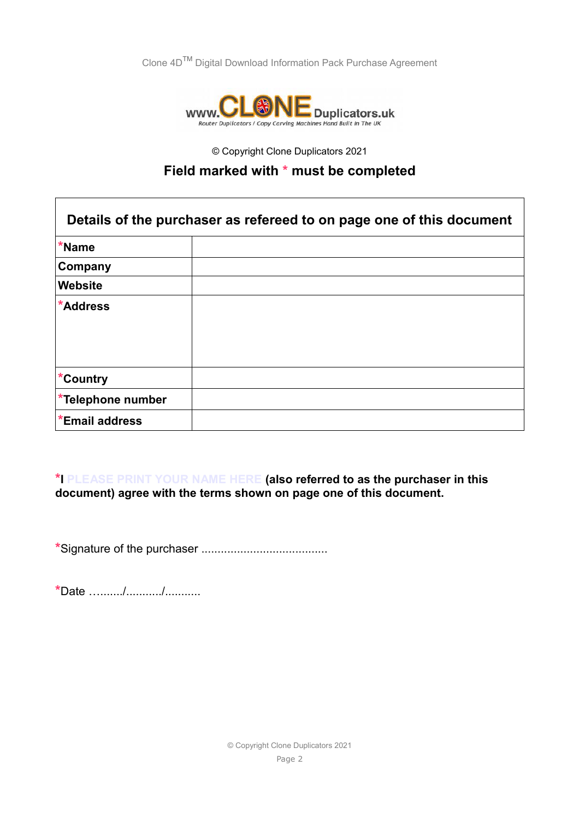Clone 4DTM Digital Download Information Pack Purchase Agreement



© Copyright Clone Duplicators 2021

## **Field marked with \* must be completed**

| Details of the purchaser as refereed to on page one of this document |  |
|----------------------------------------------------------------------|--|
| *Name                                                                |  |
| Company                                                              |  |
| Website                                                              |  |
| *Address                                                             |  |
| *Country                                                             |  |
| *Telephone number                                                    |  |
| *Email address                                                       |  |

**\*I PLEASE PRINT YOUR NAME HERE (also referred to as the purchaser in this document) agree with the terms shown on page one of this document.**

**\***Signature of the purchaser .......................................

**\***Date …......./.........../...........